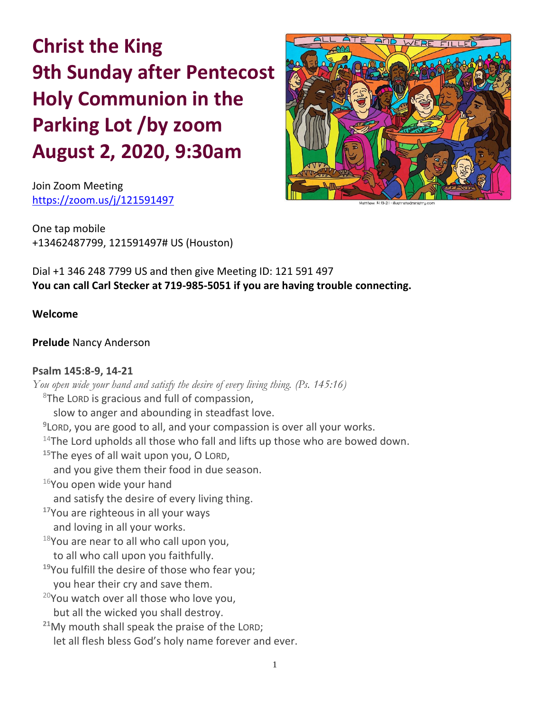**Christ the King 9th Sunday after Pentecost Holy Communion in the Parking Lot /by zoom August 2, 2020, 9:30am**

Join Zoom Meeting <https://zoom.us/j/121591497>



One tap mobile +13462487799, 121591497# US (Houston)

Dial +1 346 248 7799 US and then give Meeting ID: 121 591 497 **You can call Carl Stecker at 719-985-5051 if you are having trouble connecting.**

**Welcome**

# **Prelude** Nancy Anderson

## **Psalm 145:8-9, 14-21**

*You open wide your hand and satisfy the desire of every living thing. (Ps. 145:16)*  $8$ The LORD is gracious and full of compassion, slow to anger and abounding in steadfast love. **9** LORD, you are good to all, and your compassion is over all your works.  $14$ The Lord upholds all those who fall and lifts up those who are bowed down. **<sup>15</sup>**The eyes of all wait upon you, O LORD, and you give them their food in due season.  $16$ You open wide your hand and satisfy the desire of every living thing. **<sup>17</sup>**You are righteous in all your ways and loving in all your works.  $18$ You are near to all who call upon you, to all who call upon you faithfully. **<sup>19</sup>**You fulfill the desire of those who fear you; you hear their cry and save them.  $20$ You watch over all those who love you, but all the wicked you shall destroy. **<sup>21</sup>**My mouth shall speak the praise of the LORD; let all flesh bless God's holy name forever and ever.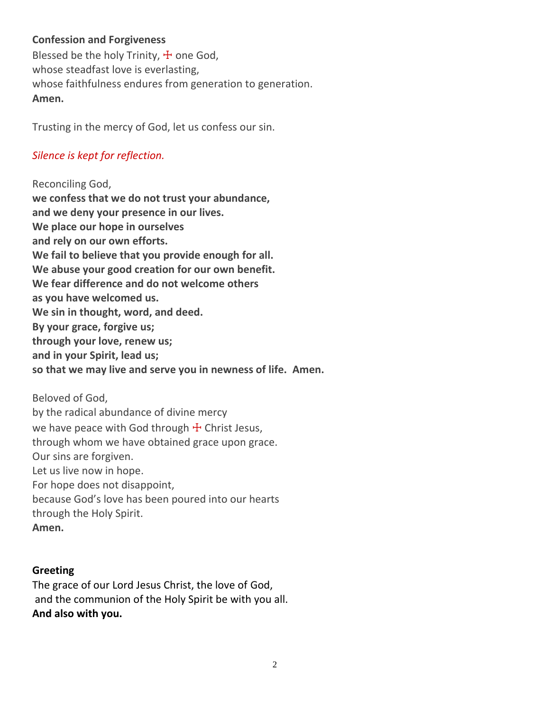# **Confession and Forgiveness**

Blessed be the holy Trinity,  $\pm$  one God, whose steadfast love is everlasting, whose faithfulness endures from generation to generation. **Amen.**

Trusting in the mercy of God, let us confess our sin.

# *Silence is kept for reflection.*

Reconciling God, **we confess that we do not trust your abundance, and we deny your presence in our lives. We place our hope in ourselves and rely on our own efforts. We fail to believe that you provide enough for all. We abuse your good creation for our own benefit. We fear difference and do not welcome others as you have welcomed us. We sin in thought, word, and deed. By your grace, forgive us; through your love, renew us; and in your Spirit, lead us; so that we may live and serve you in newness of life. Amen.**

Beloved of God, by the radical abundance of divine mercy we have peace with God through  $+$  Christ Jesus, through whom we have obtained grace upon grace. Our sins are forgiven. Let us live now in hope. For hope does not disappoint, because God's love has been poured into our hearts through the Holy Spirit. **Amen.**

#### **Greeting**

The grace of our Lord Jesus Christ, the love of God, and the communion of the Holy Spirit be with you all. **And also with you.**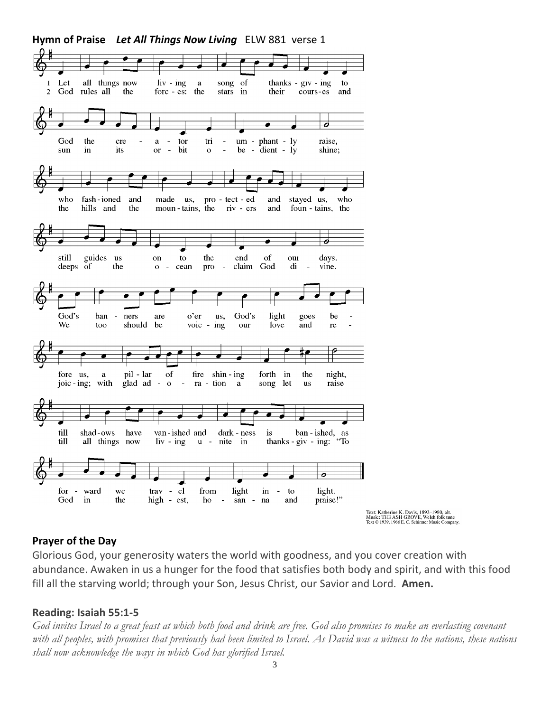

#### **Prayer of the Day**

Glorious God, your generosity waters the world with goodness, and you cover creation with abundance. Awaken in us a hunger for the food that satisfies both body and spirit, and with this food fill all the starving world; through your Son, Jesus Christ, our Savior and Lord. **Amen.**

#### **Reading: Isaiah 55:1-5**

*God invites Israel to a great feast at which both food and drink are free. God also promises to make an everlasting covenant with all peoples, with promises that previously had been limited to Israel. As David was a witness to the nations, these nations shall now acknowledge the ways in which God has glorified Israel.*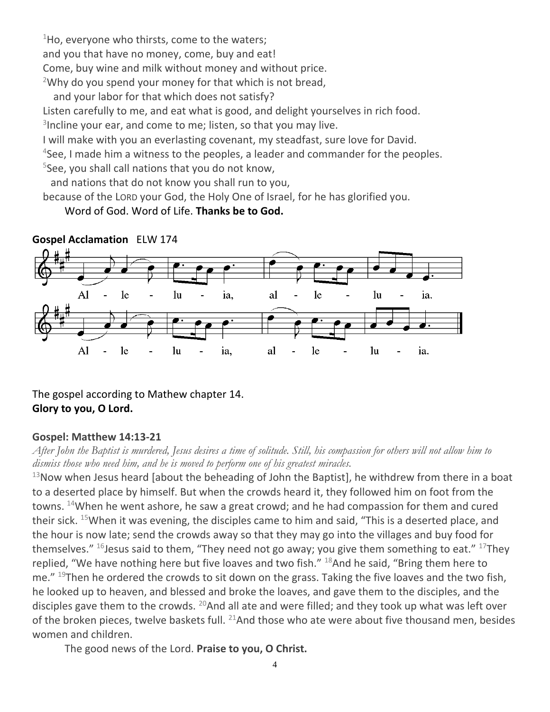$1$ Ho, everyone who thirsts, come to the waters; and you that have no money, come, buy and eat! Come, buy wine and milk without money and without price. <sup>2</sup>Why do you spend your money for that which is not bread,

and your labor for that which does not satisfy?

Listen carefully to me, and eat what is good, and delight yourselves in rich food.

<sup>3</sup>Incline your ear, and come to me; listen, so that you may live.

I will make with you an everlasting covenant, my steadfast, sure love for David.

<sup>4</sup>See, I made him a witness to the peoples, a leader and commander for the peoples.

5 See, you shall call nations that you do not know,

and nations that do not know you shall run to you,

because of the LORD your God, the Holy One of Israel, for he has glorified you.

Word of God. Word of Life. **Thanks be to God.**

![](_page_3_Figure_10.jpeg)

**Gospel Acclamation** ELW 174

The gospel according to Mathew chapter 14. **Glory to you, O Lord.**

## **Gospel: Matthew 14:13-21**

*After John the Baptist is murdered, Jesus desires a time of solitude. Still, his compassion for others will not allow him to dismiss those who need him, and he is moved to perform one of his greatest miracles.*

 $13$ Now when Jesus heard [about the beheading of John the Baptist], he withdrew from there in a boat to a deserted place by himself. But when the crowds heard it, they followed him on foot from the towns.  $14$ When he went ashore, he saw a great crowd; and he had compassion for them and cured their sick. <sup>15</sup>When it was evening, the disciples came to him and said, "This is a deserted place, and the hour is now late; send the crowds away so that they may go into the villages and buy food for themselves." <sup>16</sup> Jesus said to them, "They need not go away; you give them something to eat." <sup>17</sup>They replied, "We have nothing here but five loaves and two fish." <sup>18</sup>And he said, "Bring them here to me." <sup>19</sup>Then he ordered the crowds to sit down on the grass. Taking the five loaves and the two fish, he looked up to heaven, and blessed and broke the loaves, and gave them to the disciples, and the disciples gave them to the crowds. <sup>20</sup>And all ate and were filled; and they took up what was left over of the broken pieces, twelve baskets full.  $^{21}$ And those who ate were about five thousand men, besides women and children.

The good news of the Lord. **Praise to you, O Christ.**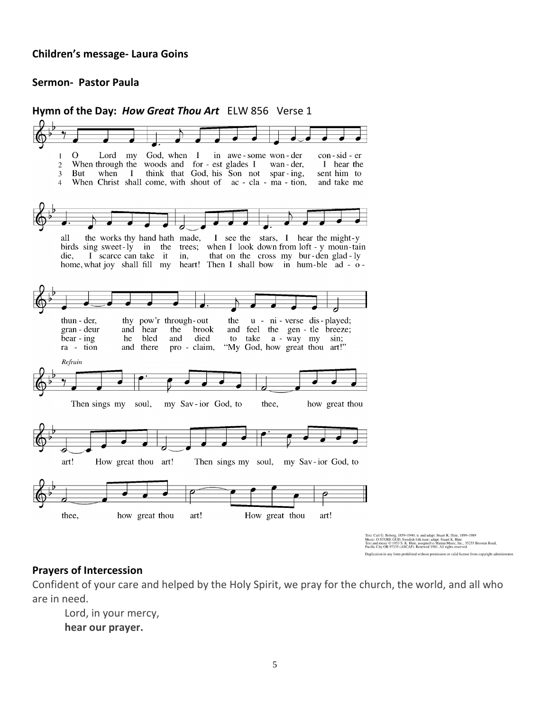#### **Children's message- Laura Goins**

#### **Sermon- Pastor Paula**

**Hymn of the Day:** *How Great Thou Art* ELW 856 Verse 1 Lord my God, when I  $\Omega$ in awe - some won - der con-sid-er  $\mathbf{1}$  $\overline{2}$ When through the woods and for - est glades I wan - der, I hear the  $3<sup>1</sup>$ But when  $\mathbf{I}$ think that God, his Son not spar-ing, sent him to  $\overline{4}$ When Christ shall come, with shout of ac - cla - ma - tion, and take me the works thy hand hath made, I see the stars, I hear the might-y all birds sing sweet-ly in the trees; when I look down from loft - y moun-tain die, I scarce can take it in, that on the cross my bur-den glad-ly home, what joy shall fill my heart! Then I shall bow in hum-ble ad - othun - der, thy pow'r through-out the u - ni - verse dis - played; brook gran - deur and hear the and feel the gen - tle breeze; died  $\frac{1}{2}$  bear - ing he bled and to take a - way my sin; ra - tion and there pro - claim, "My God, how great thou art!" Refrain my Sav-ior God, to Then sings my soul, thee, how great thou art! How great thou art! Then sings my soul, my Sav-ior God, to thee, how great thou art! How great thou art! Text: Carl G. Boberg, 1859–1940; tr. and adapt. Stuart K. Hine, 1899–1989<br>Music: O STORE GUD, Swedish folk tune: adapt. Stuart K. Hine<br>Text and music © 1953 S. K. Hine, assigned to Manna Music, Inc., 35255 Brooten Road,<br>Pa Duplication in any form prohibited without permission or valid license from copyright administrator

#### **Prayers of Intercession**

Confident of your care and helped by the Holy Spirit, we pray for the church, the world, and all who are in need.

Lord, in your mercy, **hear our prayer.**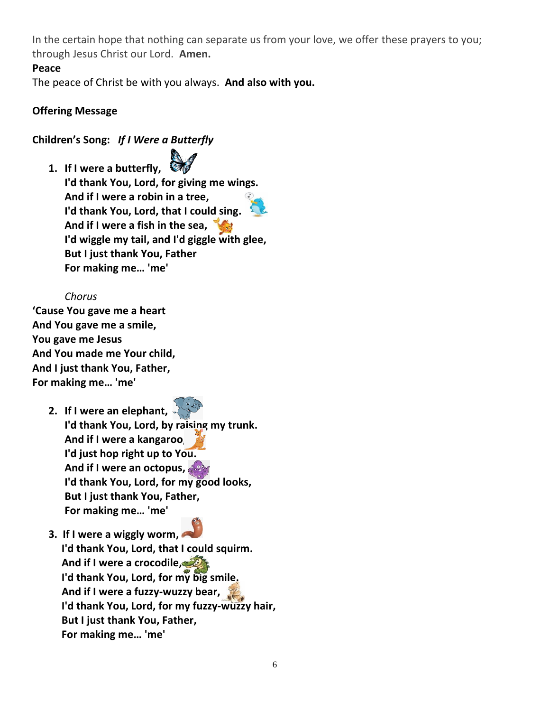In the certain hope that nothing can separate us from your love, we offer these prayers to you; through Jesus Christ our Lord. **Amen.**

## **Peace**

The peace of Christ be with you always. **And also with you.**

# **Offering Message**

# **Children's Song:** *If I Were a Butterfly*

**1. If I were a butterfly,**

**I'd thank You, Lord, for giving me wings. And if I were a robin in a tree, I'd thank You, Lord, that I could sing. And if I were a fish in the sea, I'd wiggle my tail, and I'd giggle with glee, But I just thank You, Father For making me… 'me'**

# *Chorus*

**'Cause You gave me a heart And You gave me a smile, You gave me Jesus And You made me Your child, And I just thank You, Father, For making me… 'me'**

- **2. If I were an elephant, I'd thank You, Lord, by raising my trunk. And if I were a kangaroo, I'd just hop right up to You. And if I were an octopus, I'd thank You, Lord, for my good looks, But I just thank You, Father, For making me… 'me'**
- **3. If I were a wiggly worm, I'd thank You, Lord, that I could squirm. And if I were a crocodile, I'd thank You, Lord, for my big smile. And if I were a fuzzy-wuzzy bear, I'd thank You, Lord, for my fuzzy-wuzzy hair, But I just thank You, Father, For making me… 'me'**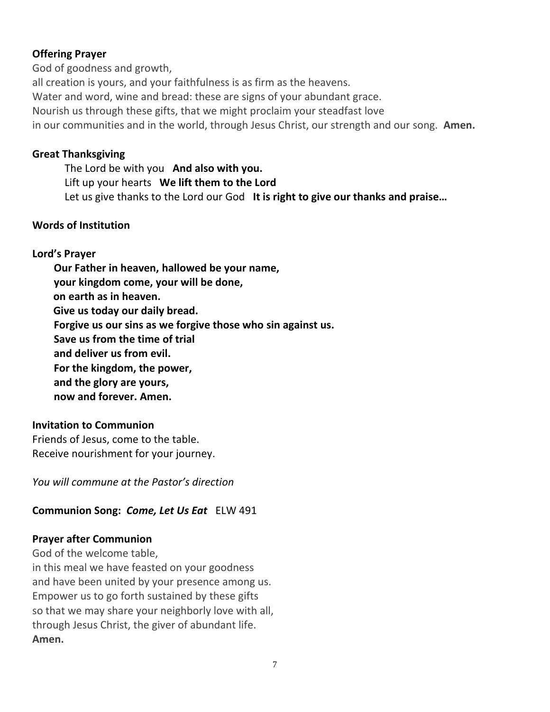# **Offering Prayer**

God of goodness and growth, all creation is yours, and your faithfulness is as firm as the heavens. Water and word, wine and bread: these are signs of your abundant grace. Nourish us through these gifts, that we might proclaim your steadfast love in our communities and in the world, through Jesus Christ, our strength and our song. **Amen.**

## **Great Thanksgiving**

The Lord be with you **And also with you.** Lift up your hearts **We lift them to the Lord** Let us give thanks to the Lord our God **It is right to give our thanks and praise…** 

## **Words of Institution**

## **Lord's Prayer**

**Our Father in heaven, hallowed be your name, your kingdom come, your will be done, on earth as in heaven. Give us today our daily bread. Forgive us our sins as we forgive those who sin against us. Save us from the time of trial and deliver us from evil. For the kingdom, the power, and the glory are yours, now and forever. Amen.**

## **Invitation to Communion**

Friends of Jesus, come to the table. Receive nourishment for your journey.

*You will commune at the Pastor's direction*

## **Communion Song:** *Come, Let Us Eat*ELW 491

## **Prayer after Communion**

God of the welcome table, in this meal we have feasted on your goodness and have been united by your presence among us. Empower us to go forth sustained by these gifts so that we may share your neighborly love with all, through Jesus Christ, the giver of abundant life. **Amen.**